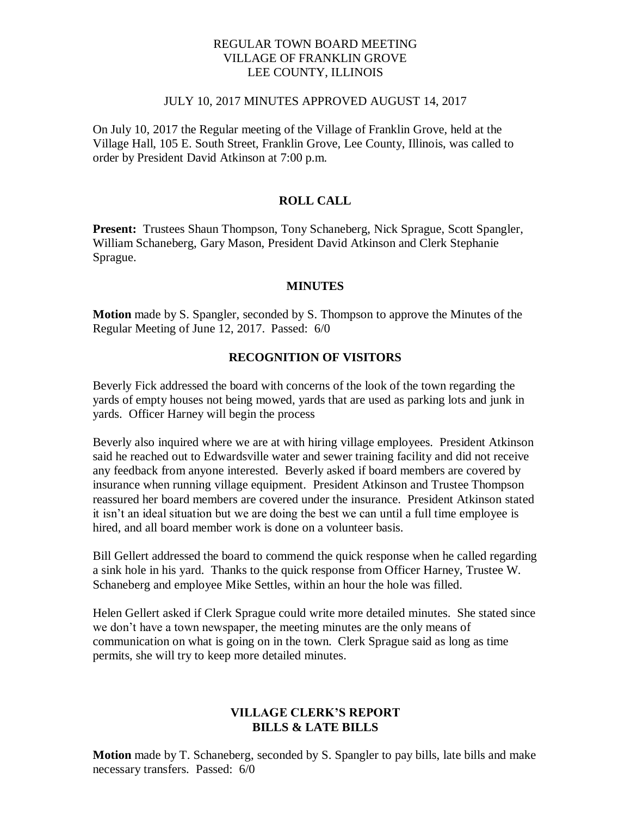## REGULAR TOWN BOARD MEETING VILLAGE OF FRANKLIN GROVE LEE COUNTY, ILLINOIS

#### JULY 10, 2017 MINUTES APPROVED AUGUST 14, 2017

On July 10, 2017 the Regular meeting of the Village of Franklin Grove, held at the Village Hall, 105 E. South Street, Franklin Grove, Lee County, Illinois, was called to order by President David Atkinson at 7:00 p.m.

# **ROLL CALL**

**Present:** Trustees Shaun Thompson, Tony Schaneberg, Nick Sprague, Scott Spangler, William Schaneberg, Gary Mason, President David Atkinson and Clerk Stephanie Sprague.

#### **MINUTES**

**Motion** made by S. Spangler, seconded by S. Thompson to approve the Minutes of the Regular Meeting of June 12, 2017. Passed: 6/0

# **RECOGNITION OF VISITORS**

Beverly Fick addressed the board with concerns of the look of the town regarding the yards of empty houses not being mowed, yards that are used as parking lots and junk in yards. Officer Harney will begin the process

Beverly also inquired where we are at with hiring village employees. President Atkinson said he reached out to Edwardsville water and sewer training facility and did not receive any feedback from anyone interested. Beverly asked if board members are covered by insurance when running village equipment. President Atkinson and Trustee Thompson reassured her board members are covered under the insurance. President Atkinson stated it isn't an ideal situation but we are doing the best we can until a full time employee is hired, and all board member work is done on a volunteer basis.

Bill Gellert addressed the board to commend the quick response when he called regarding a sink hole in his yard. Thanks to the quick response from Officer Harney, Trustee W. Schaneberg and employee Mike Settles, within an hour the hole was filled.

Helen Gellert asked if Clerk Sprague could write more detailed minutes. She stated since we don't have a town newspaper, the meeting minutes are the only means of communication on what is going on in the town. Clerk Sprague said as long as time permits, she will try to keep more detailed minutes.

## **VILLAGE CLERK'S REPORT BILLS & LATE BILLS**

**Motion** made by T. Schaneberg, seconded by S. Spangler to pay bills, late bills and make necessary transfers. Passed: 6/0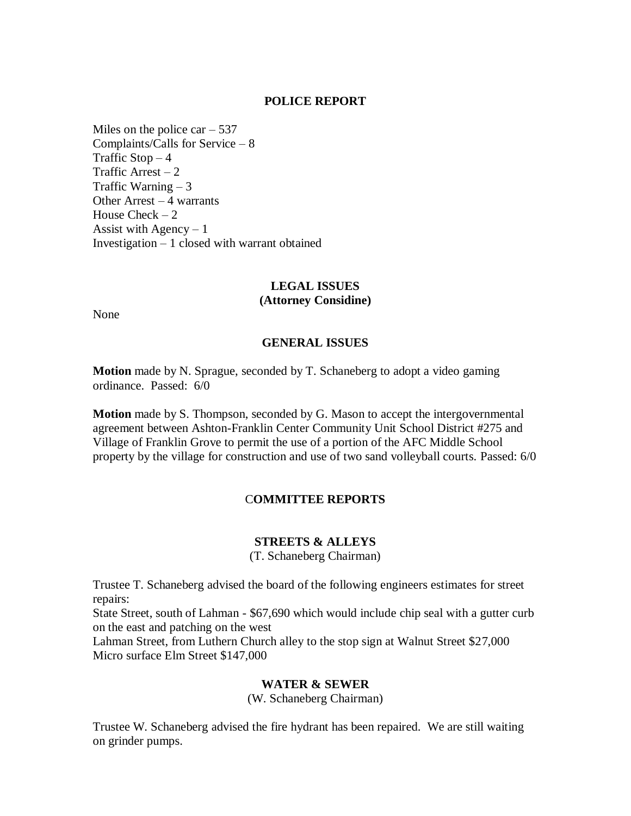#### **POLICE REPORT**

Miles on the police car  $-537$ Complaints/Calls for Service – 8 Traffic  $Stop-4$ Traffic Arrest  $-2$ Traffic Warning – 3 Other Arrest – 4 warrants House Check  $-2$ Assist with Agency  $-1$ Investigation – 1 closed with warrant obtained

# **LEGAL ISSUES (Attorney Considine)**

None

#### **GENERAL ISSUES**

**Motion** made by N. Sprague, seconded by T. Schaneberg to adopt a video gaming ordinance. Passed: 6/0

**Motion** made by S. Thompson, seconded by G. Mason to accept the intergovernmental agreement between Ashton-Franklin Center Community Unit School District #275 and Village of Franklin Grove to permit the use of a portion of the AFC Middle School property by the village for construction and use of two sand volleyball courts. Passed: 6/0

#### C**OMMITTEE REPORTS**

#### **STREETS & ALLEYS**

(T. Schaneberg Chairman)

Trustee T. Schaneberg advised the board of the following engineers estimates for street repairs:

State Street, south of Lahman - \$67,690 which would include chip seal with a gutter curb on the east and patching on the west

Lahman Street, from Luthern Church alley to the stop sign at Walnut Street \$27,000 Micro surface Elm Street \$147,000

## **WATER & SEWER**

(W. Schaneberg Chairman)

Trustee W. Schaneberg advised the fire hydrant has been repaired. We are still waiting on grinder pumps.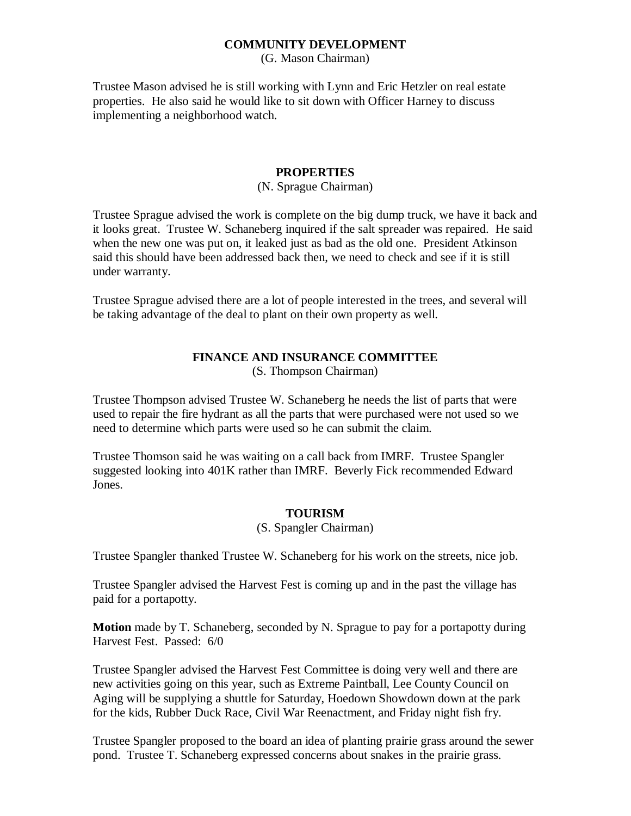## **COMMUNITY DEVELOPMENT**

(G. Mason Chairman)

Trustee Mason advised he is still working with Lynn and Eric Hetzler on real estate properties. He also said he would like to sit down with Officer Harney to discuss implementing a neighborhood watch.

## **PROPERTIES**

#### (N. Sprague Chairman)

Trustee Sprague advised the work is complete on the big dump truck, we have it back and it looks great. Trustee W. Schaneberg inquired if the salt spreader was repaired. He said when the new one was put on, it leaked just as bad as the old one. President Atkinson said this should have been addressed back then, we need to check and see if it is still under warranty.

Trustee Sprague advised there are a lot of people interested in the trees, and several will be taking advantage of the deal to plant on their own property as well.

# **FINANCE AND INSURANCE COMMITTEE**

(S. Thompson Chairman)

Trustee Thompson advised Trustee W. Schaneberg he needs the list of parts that were used to repair the fire hydrant as all the parts that were purchased were not used so we need to determine which parts were used so he can submit the claim.

Trustee Thomson said he was waiting on a call back from IMRF. Trustee Spangler suggested looking into 401K rather than IMRF. Beverly Fick recommended Edward Jones.

#### **TOURISM**

(S. Spangler Chairman)

Trustee Spangler thanked Trustee W. Schaneberg for his work on the streets, nice job.

Trustee Spangler advised the Harvest Fest is coming up and in the past the village has paid for a portapotty.

**Motion** made by T. Schaneberg, seconded by N. Sprague to pay for a portapotty during Harvest Fest. Passed: 6/0

Trustee Spangler advised the Harvest Fest Committee is doing very well and there are new activities going on this year, such as Extreme Paintball, Lee County Council on Aging will be supplying a shuttle for Saturday, Hoedown Showdown down at the park for the kids, Rubber Duck Race, Civil War Reenactment, and Friday night fish fry.

Trustee Spangler proposed to the board an idea of planting prairie grass around the sewer pond. Trustee T. Schaneberg expressed concerns about snakes in the prairie grass.